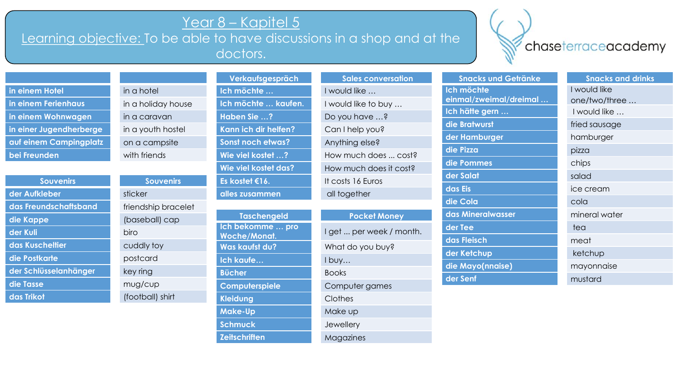## Year 8 – Kapitel 5

Learning objective: To be able to have discussions in a shop and at the doctors.

## chaseterraceacademy

| in einem Hotel         |
|------------------------|
| in einem Ferienhaus    |
| in einem Wohnwagen     |
| in einer Jugendherberg |
| auf einem Campingpla   |
| bei Freunden           |

| <b>Souvenirs</b>      | <b>Souvenirs</b>    |
|-----------------------|---------------------|
| der Aufkleber         | sticker             |
| das Freundschaftsband | friendship bracelet |
| die Kappe             | (baseball) cap      |
| der Kuli              | biro                |
| das Kuscheltier       | cuddly toy          |
| die Postkarte         | postcard            |
| der Schlüsselanhänger | key ring            |
| die Tasse             | mug/cup             |
| das Trikot            | (football) shirt    |

in a hotel in a holiday house in a caravan in a youth hostel **and** a campsite with friends

| <b>Souvenirs</b> | <b>Souvenirs</b>   |
|------------------|--------------------|
| <b>leber</b>     | sticker            |
| ndschaftsband    | friendship bracele |
| эc               | (baseball) cap     |
|                  | biro               |
| <b>cheltier</b>  | cuddly toy         |
| karte            | postcard           |
| üsselan hänger   | key ring           |
| e                | mug/cup            |
| )ł               | (football) shirt   |
|                  |                    |

| <u>verkaufsgesprach</u> | Sales conversation  |
|-------------------------|---------------------|
| Ich möchte              | I would like        |
| Ich möchte  kaufen.     | I would like to buy |
| Haben Sie ?             | Do you have ?       |
| Kann ich dir helfen?    | Can I help you?     |
| Sonst noch etwas?       | Anything else?      |
| Wie viel kostet ?       | How much does  co   |
| Wie viel kostet das?    | How much does it co |
| Es kostet €16.          | It costs 16 Euros   |
| alles zusammen          | all together        |

| <b>Taschengeld</b>    |
|-----------------------|
| Ich bekomme  pro      |
| <b>Woche/Monat.</b>   |
| <b>Was kaufst du?</b> |
| Ich kaufe             |
| <b>Bücher</b>         |
| Computerspiele        |
| <b>Kleidung</b>       |
| <b>Make-Up</b>        |
| <b>Schmuck</b>        |
| <b>Zeitschriften</b>  |

| Verkaufsgespräch         | <b>Sales conversation</b> |
|--------------------------|---------------------------|
| Ich möchte               | I would like              |
| Ich möchte  kaufen.      | I would like to buy       |
| Haben Sie ?              | Do you have ?             |
| Kann ich dir helfen?     | Can I help you?           |
| <b>Sonst noch etwas?</b> | Anything else?            |
| Wie viel kostet ?        | How much does  cost?      |
| Wie viel kostet das?     | How much does it cost?    |
| Es kostet €16.           | It costs 16 Euros         |
| alles zusammen           | all together              |

**Pocket Money** I get ... per week / month What do you buy? I buy... **Bücher** Books **Computer games Clothes** 

**Make-Up** Make up

**Magazines** 

Jewellery

|       | einmal/zweim   |
|-------|----------------|
|       | Ich hätte gern |
|       | die Bratwurst  |
|       | der Hamburge   |
|       | die Pizza      |
| S‡ś   | die Pommes     |
| sł?   | der Salat      |
|       | das Eis        |
|       | die Cola       |
|       | das Mineralwa  |
| onth. | der Tee        |
|       | das Fleisch    |
|       | der Ketchup    |
|       | dia Mavolnna   |

**Snacks und Getränke Snacks and drinks Ich möchte einmal/zweimal/dreimal … der Tee** team and the state of the team of the team of the state of the state of the state of the state of the **die Mayo(nnaise)** mayonnaise **der Senf** mustard

I would like one/two/three … **Ich hätte gern …** I would like … fried sausage **der Hamburger** hamburger **die Pizza** pizza chips salad **das Eis** ice cream **die Cola** cola **dasser Mineral water** meat ketchup